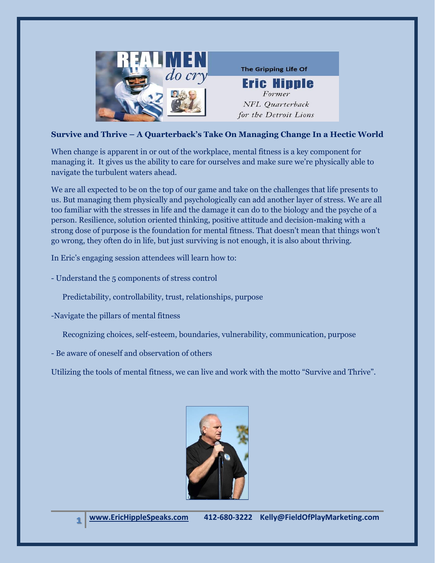

## **Survive and Thrive – A Quarterback's Take On Managing Change In a Hectic World**

When change is apparent in or out of the workplace, mental fitness is a key component for managing it. It gives us the ability to care for ourselves and make sure we're physically able to navigate the turbulent waters ahead.

We are all expected to be on the top of our game and take on the challenges that life presents to us. But managing them physically and psychologically can add another layer of stress. We are all too familiar with the stresses in life and the damage it can do to the biology and the psyche of a person. Resilience, solution oriented thinking, positive attitude and decision-making with a strong dose of purpose is the foundation for mental fitness. That doesn't mean that things won't go wrong, they often do in life, but just surviving is not enough, it is also about thriving.

In Eric's engaging session attendees will learn how to:

- Understand the 5 components of stress control

Predictability, controllability, trust, relationships, purpose

-Navigate the pillars of mental fitness

Recognizing choices, self-esteem, boundaries, vulnerability, communication, purpose

- Be aware of oneself and observation of others

Utilizing the tools of mental fitness, we can live and work with the motto "Survive and Thrive".